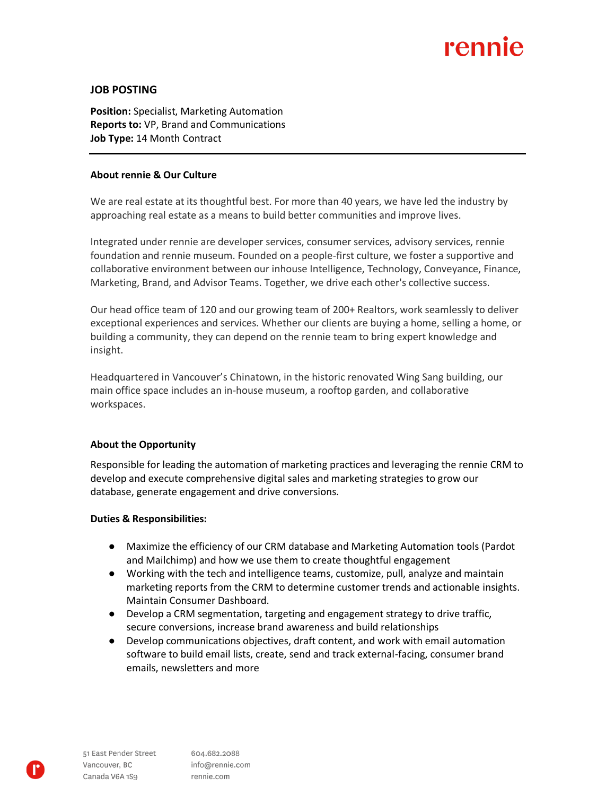# rennie

#### **JOB POSTING**

**Position:** Specialist, Marketing Automation **Reports to:** VP, Brand and Communications **Job Type:** 14 Month Contract

#### **About rennie & Our Culture**

We are real estate at its thoughtful best. For more than 40 years, we have led the industry by approaching real estate as a means to build better communities and improve lives.

Integrated under rennie are developer services, consumer services, advisory services, rennie foundation and rennie museum. Founded on a people-first culture, we foster a supportive and collaborative environment between our inhouse Intelligence, Technology, Conveyance, Finance, Marketing, Brand, and Advisor Teams. Together, we drive each other's collective success.

Our head office team of 120 and our growing team of 200+ Realtors, work seamlessly to deliver exceptional experiences and services. Whether our clients are buying a home, selling a home, or building a community, they can depend on the rennie team to bring expert knowledge and insight.

Headquartered in Vancouver's Chinatown, in the historic renovated Wing Sang building, our main office space includes an in-house museum, a rooftop garden, and collaborative workspaces.

### **About the Opportunity**

Responsible for leading the automation of marketing practices and leveraging the rennie CRM to develop and execute comprehensive digital sales and marketing strategies to grow our database, generate engagement and drive conversions.

#### **Duties & Responsibilities:**

- Maximize the efficiency of our CRM database and Marketing Automation tools (Pardot and Mailchimp) and how we use them to create thoughtful engagement
- Working with the tech and intelligence teams, customize, pull, analyze and maintain marketing reports from the CRM to determine customer trends and actionable insights. Maintain Consumer Dashboard.
- Develop a CRM segmentation, targeting and engagement strategy to drive traffic, secure conversions, increase brand awareness and build relationships
- Develop communications objectives, draft content, and work with email automation software to build email lists, create, send and track external-facing, consumer brand emails, newsletters and more

604.682.2088 info@rennie.com rennie.com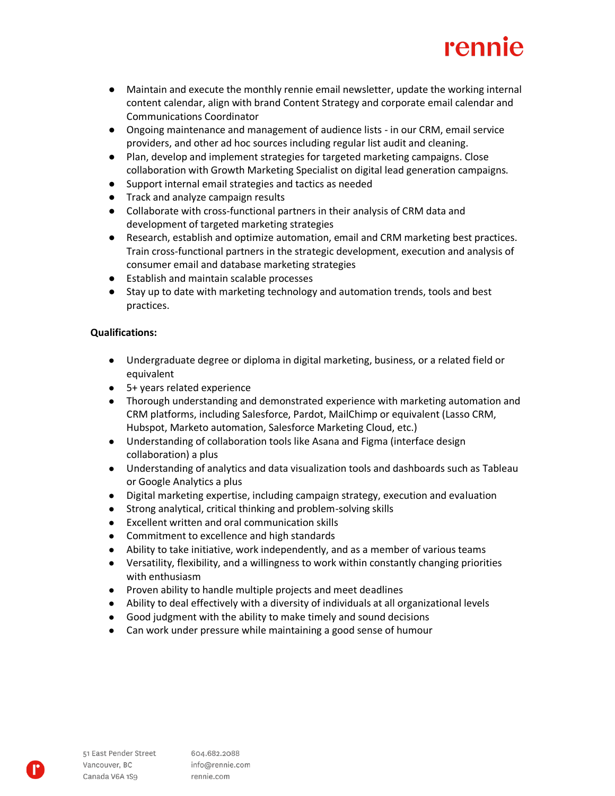

- Maintain and execute the monthly rennie email newsletter, update the working internal content calendar, align with brand Content Strategy and corporate email calendar and Communications Coordinator
- Ongoing maintenance and management of audience lists in our CRM, email service providers, and other ad hoc sources including regular list audit and cleaning.
- Plan, develop and implement strategies for targeted marketing campaigns. Close collaboration with Growth Marketing Specialist on digital lead generation campaigns.
- Support internal email strategies and tactics as needed
- Track and analyze campaign results
- Collaborate with cross-functional partners in their analysis of CRM data and development of targeted marketing strategies
- Research, establish and optimize automation, email and CRM marketing best practices. Train cross-functional partners in the strategic development, execution and analysis of consumer email and database marketing strategies
- Establish and maintain scalable processes
- Stay up to date with marketing technology and automation trends, tools and best practices.

#### **Qualifications:**

- Undergraduate degree or diploma in digital marketing, business, or a related field or equivalent
- 5+ years related experience
- Thorough understanding and demonstrated experience with marketing automation and CRM platforms, including Salesforce, Pardot, MailChimp or equivalent (Lasso CRM, Hubspot, Marketo automation, Salesforce Marketing Cloud, etc.)
- Understanding of collaboration tools like Asana and Figma (interface design collaboration) a plus
- Understanding of analytics and data visualization tools and dashboards such as Tableau or Google Analytics a plus
- Digital marketing expertise, including campaign strategy, execution and evaluation
- Strong analytical, critical thinking and problem-solving skills
- Excellent written and oral communication skills
- Commitment to excellence and high standards
- Ability to take initiative, work independently, and as a member of various teams
- Versatility, flexibility, and a willingness to work within constantly changing priorities with enthusiasm
- Proven ability to handle multiple projects and meet deadlines
- Ability to deal effectively with a diversity of individuals at all organizational levels
- Good judgment with the ability to make timely and sound decisions
- Can work under pressure while maintaining a good sense of humour